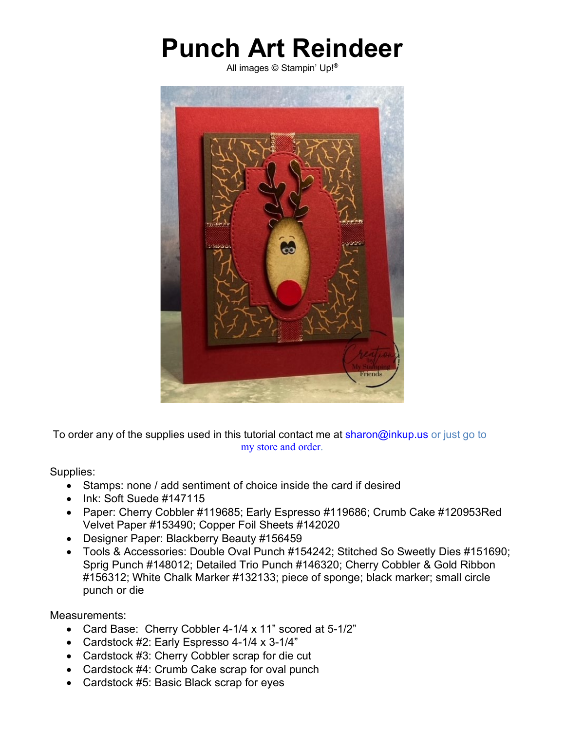## **Punch Art Reindeer**

All images © Stampin' Up!®



To order any of the supplies used in this tutorial contact me at sharon@inkup.us or just go to my store and order.

Supplies:

- Stamps: none / add sentiment of choice inside the card if desired
- Ink: Soft Suede #147115
- Paper: Cherry Cobbler #119685; Early Espresso #119686; Crumb Cake #120953Red Velvet Paper #153490; Copper Foil Sheets #142020
- Designer Paper: Blackberry Beauty #156459
- Tools & Accessories: Double Oval Punch #154242; Stitched So Sweetly Dies #151690; Sprig Punch #148012; Detailed Trio Punch #146320; Cherry Cobbler & Gold Ribbon #156312; White Chalk Marker #132133; piece of sponge; black marker; small circle punch or die

Measurements:

- Card Base: Cherry Cobbler 4-1/4 x 11" scored at 5-1/2"
- Cardstock #2: Early Espresso 4-1/4 x 3-1/4"
- Cardstock #3: Cherry Cobbler scrap for die cut
- Cardstock #4: Crumb Cake scrap for oval punch
- Cardstock #5: Basic Black scrap for eyes